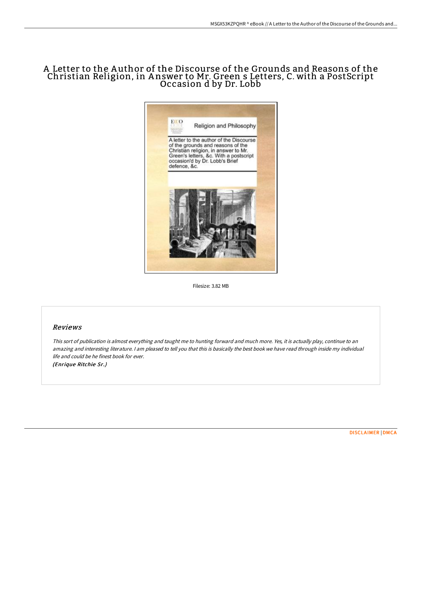# A Letter to the A uthor of the Discourse of the Grounds and Reasons of the Christian Religion, in A nswer to Mr. Green s Letters, C. with a PostScript Occasion d by Dr. Lobb



Filesize: 3.82 MB

#### Reviews

This sort of publication is almost everything and taught me to hunting forward and much more. Yes, it is actually play, continue to an amazing and interesting literature. I am pleased to tell you that this is basically the best book we have read through inside my individual life and could be he finest book for ever. (Enrique Ritchie Sr.)

[DISCLAIMER](http://www.bookdirs.com/disclaimer.html) | [DMCA](http://www.bookdirs.com/dmca.html)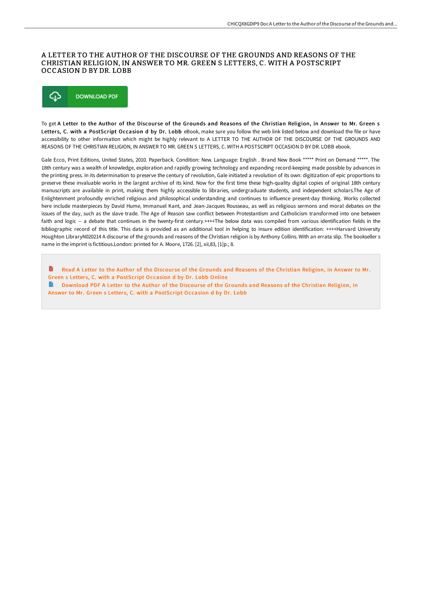#### A LETTER TO THE AUTHOR OF THE DISCOURSE OF THE GROUNDS AND REASONS OF THE CHRISTIAN RELIGION, IN ANSWER TO MR. GREEN S LETTERS, C. WITH A POSTSCRIPT OCCASION D BY DR. LOBB



To get A Letter to the Author of the Discourse of the Grounds and Reasons of the Christian Religion, in Answer to Mr. Green s Letters, C. with a PostScript Occasion d by Dr. Lobb eBook, make sure you follow the web link listed below and download the file or have accessibility to other information which might be highly relevant to A LETTER TO THE AUTHOR OF THE DISCOURSE OF THE GROUNDS AND REASONS OF THE CHRISTIAN RELIGION, IN ANSWER TO MR. GREEN S LETTERS, C. WITH A POSTSCRIPT OCCASION D BY DR. LOBB ebook.

Gale Ecco, Print Editions, United States, 2010. Paperback. Condition: New. Language: English . Brand New Book \*\*\*\*\* Print on Demand \*\*\*\*\*. The 18th century was a wealth of knowledge, exploration and rapidly growing technology and expanding record-keeping made possible by advances in the printing press. In its determination to preserve the century of revolution, Gale initiated a revolution of its own: digitization of epic proportions to preserve these invaluable works in the largest archive of its kind. Now for the first time these high-quality digital copies of original 18th century manuscripts are available in print, making them highly accessible to libraries, undergraduate students, and independent scholars.The Age of Enlightenment profoundly enriched religious and philosophical understanding and continues to influence present-day thinking. Works collected here include masterpieces by David Hume, Immanuel Kant, and Jean-Jacques Rousseau, as well as religious sermons and moral debates on the issues of the day, such as the slave trade. The Age of Reason saw conflict between Protestantism and Catholicism transformed into one between faith and logic -- a debate that continues in the twenty-first century.++++The below data was compiled from various identification fields in the bibliographic record of this title. This data is provided as an additional tool in helping to insure edition identification: ++++Harvard University Houghton LibraryN020214 A discourse of the grounds and reasons of the Christian religion is by Anthony Collins. With an errata slip. The bookseller s name in the imprint is fictitious.London: printed for A. Moore, 1726. [2], xii,83, [1]p.; 8.

B Read A Letter to the Author of the Discourse of the Grounds and Reasons of the Christian Religion, in Answer to Mr. Green s Letters, C. with a [PostScript](http://www.bookdirs.com/a-letter-to-the-author-of-the-discourse-of-the-g.html) Occasion d by Dr. Lobb Online  $\rightarrow$ Download PDF A Letter to the Author of the Discourse of the Grounds and Reasons of the Christian Religion, in Answer to Mr. Green s Letters, C. with a [PostScript](http://www.bookdirs.com/a-letter-to-the-author-of-the-discourse-of-the-g.html) Occasion d by Dr. Lobb